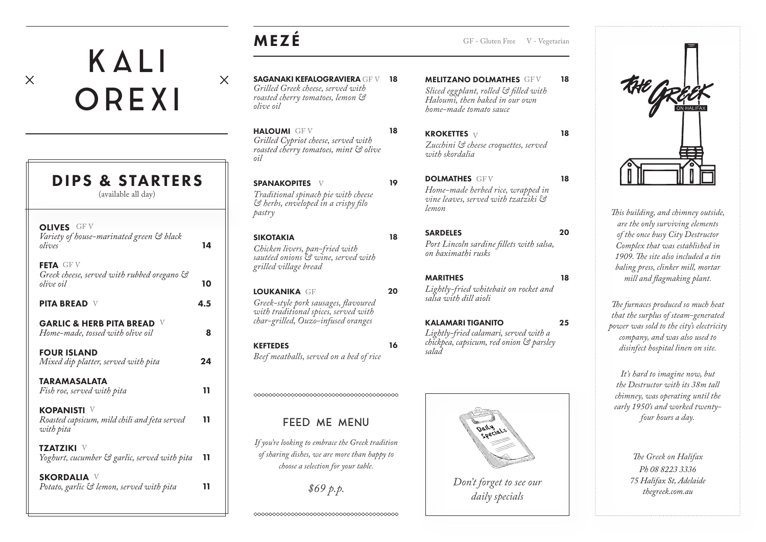# MEZÉ

 $\times$ 

SAGANAKI KEFALOGRAVIERA GF V 18 *Grilled Greek cheese, served with roasted cherry tomatoes, lemon & olive oil*

HALOUMI GF V *Grilled Cypriot cheese, served with roasted cherry tomatoes, mint & olive oil*

SPANAKOPITES V *Traditional spinach pie with cheese & herbs, enveloped in a crispy filo pastry*

SIKOTAKIA *Chicken livers, pan-fried with sautéed onions & wine, served with grilled village bread*

LOUKANIKA GF *Greek-style pork sausages, flavoured with traditional spices, served with char-grilled, Ouzo-infused oranges*

KEFTEDES *Beef meatballs, served on a bed of rice* **MELITZANO DOLMATHES GFV** *Sliced eggplant, rolled & filled with Haloumi, then baked in our own home-made tomato sauce*

**KROKETTES**  $V$ *Zucchini & cheese croquettes, served with skordalia*

GF - Gluten Free V - Vegetarian

18

18

18

18

25

DOLMATHES GEV *Home-made herbed rice, wrapped in vine leaves, served with tzatziki & lemon*

SARDELES *Port Lincoln sardine fillets with salsa, on baximathi rusks* 20

MARITHES *Lightly-fried whitebait on rocket and salsa with dill aioli* 





*This building, and chimney outside, are the only surviving elements of the once busy City Destructor Complex that was established in 1909. The site also included a tin baling press, clinker mill, mortar mill and flagmaking plant.*

*The furnaces produced so much heat that the surplus of steam-generated power was sold to the city's electricity company, and was also used to disinfect hospital linen on site.* 

*It's hard to imagine now, but the Destructor with its 38m tall chimney, was operating until the early 1950's and worked twentyfour hours a day.* 

> *The Greek on Halifax Ph 08 8223 3336 75 Halifax St, Adelaide thegreek.com.au*

# OREXI DIPS & STARTERS

KALI

 $\times$ 

(available all day)

| <b>OLIVES</b> GF V<br>Variety of house-marinated green & black<br>olives        | 14  |
|---------------------------------------------------------------------------------|-----|
| FETA GF V<br>Greek cheese, served with rubbed oregano &<br>olive oil            | 10  |
| <b>PITA BREAD V</b>                                                             | 4.5 |
| <b>GARLIC &amp; HERB PITA BREAD</b><br>Home-made, tossed with olive oil         | 8   |
| <b>FOUR ISLAND</b><br>Mixed dip platter, served with pita                       | 24  |
| <b>TARAMASALATA</b><br>Fish roe, served with pita                               | 11  |
| <b>KOPANISTI</b> V<br>Roasted capsicum, mild chili and feta served<br>with pita | 11  |
| <b>TZATZIKI</b> V<br>Yoghurt, cucumber & garlic, served with pita               | 11  |
| <b>SKORDALIA V</b><br>Potato, garlic & lemon, served with pita                  | 11  |
|                                                                                 |     |

16

20

KALAMARI TIGANITO *Lightly-fried calamari, served with a chickpea, capsicum, red onion & parsley salad*



18

19

18



*If you're looking to embrace the Greek tradition of sharing dishes, we are more than happy to choose a selection for your table.*

*\$69 p.p.*